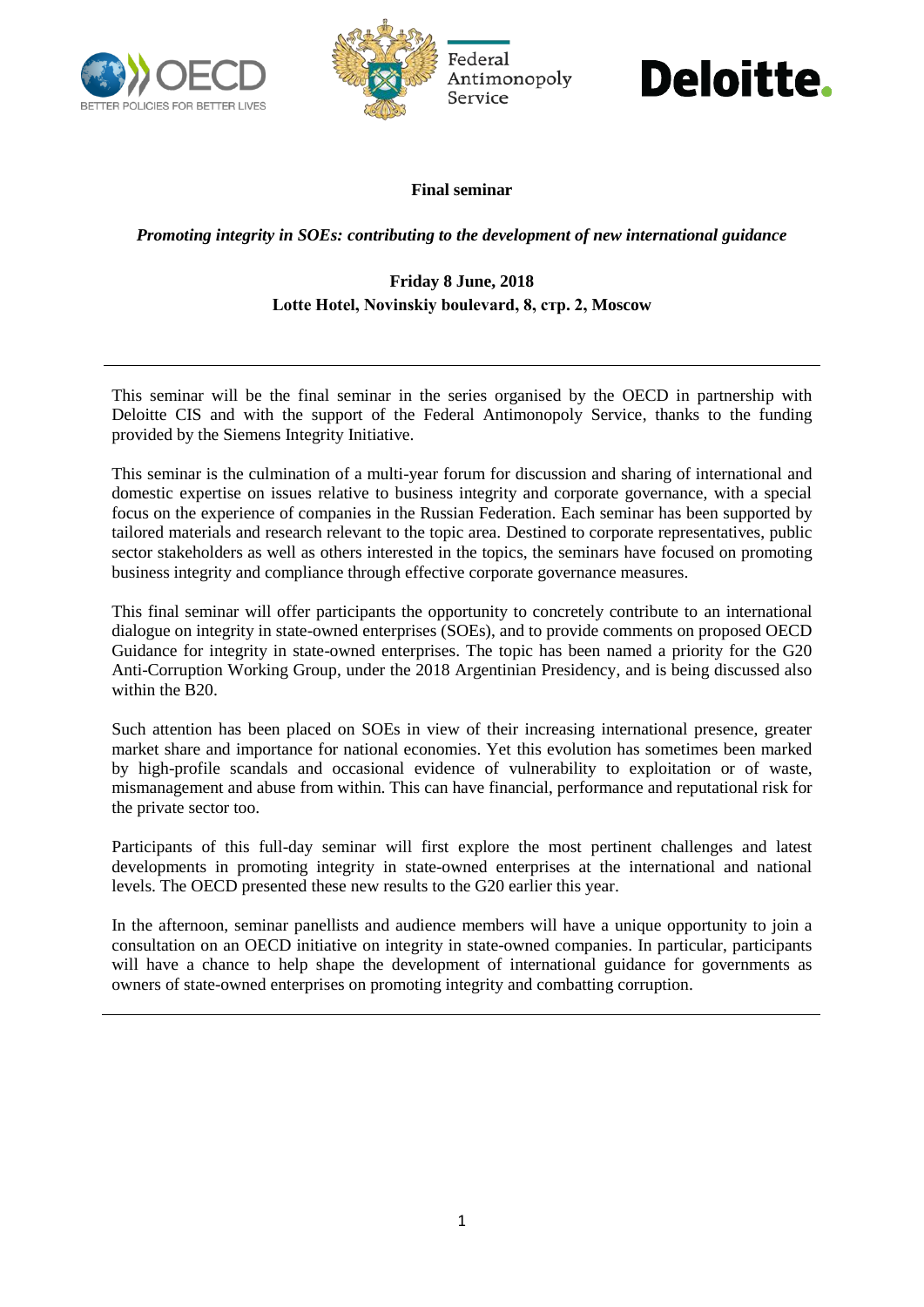



## Deloitte.

### **Final seminar**

*Promoting integrity in SOEs: contributing to the development of new international guidance*

### **Friday 8 June, 2018 Lotte Hotel, Novinskiy boulevard, 8, стр. 2, Moscow**

This seminar will be the final seminar in the series organised by the OECD in partnership with Deloitte CIS and with the support of the Federal Antimonopoly Service, thanks to the funding provided by the Siemens Integrity Initiative.

This seminar is the culmination of a multi-year forum for discussion and sharing of international and domestic expertise on issues relative to business integrity and corporate governance, with a special focus on the experience of companies in the Russian Federation. Each seminar has been supported by tailored materials and research relevant to the topic area. Destined to corporate representatives, public sector stakeholders as well as others interested in the topics, the seminars have focused on promoting business integrity and compliance through effective corporate governance measures.

This final seminar will offer participants the opportunity to concretely contribute to an international dialogue on integrity in state-owned enterprises (SOEs), and to provide comments on proposed OECD Guidance for integrity in state-owned enterprises. The topic has been named a priority for the G20 Anti-Corruption Working Group, under the 2018 Argentinian Presidency, and is being discussed also within the B20.

Such attention has been placed on SOEs in view of their increasing international presence, greater market share and importance for national economies. Yet this evolution has sometimes been marked by high-profile scandals and occasional evidence of vulnerability to exploitation or of waste, mismanagement and abuse from within. This can have financial, performance and reputational risk for the private sector too.

Participants of this full-day seminar will first explore the most pertinent challenges and latest developments in promoting integrity in state-owned enterprises at the international and national levels. The OECD presented these new results to the G20 earlier this year.

In the afternoon, seminar panellists and audience members will have a unique opportunity to join a consultation on an OECD initiative on integrity in state-owned companies. In particular, participants will have a chance to help shape the development of international guidance for governments as owners of state-owned enterprises on promoting integrity and combatting corruption.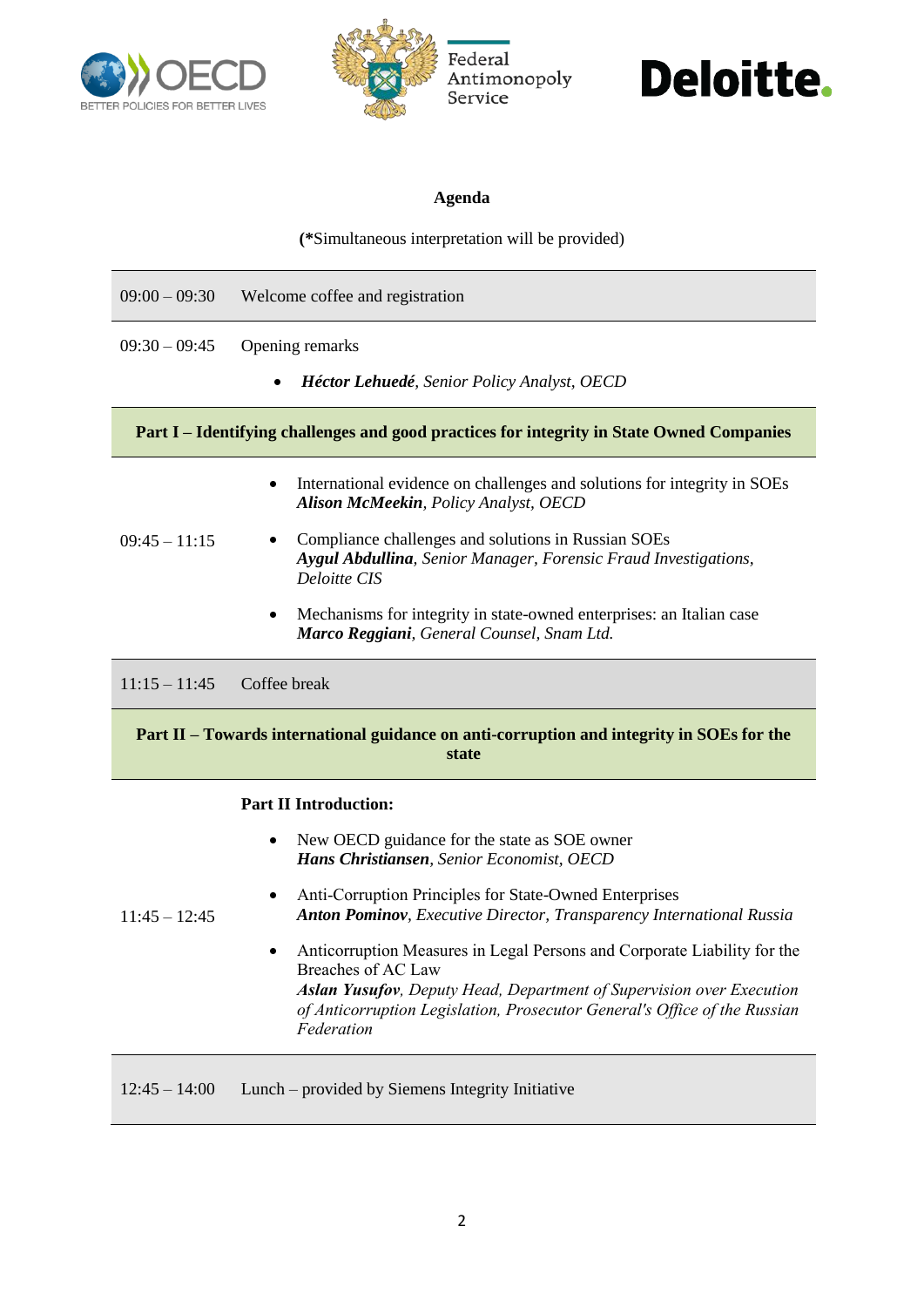



## **Deloitte.**

### **Agenda**

**(\***Simultaneous interpretation will be provided)

| $09:00 - 09:30$                                                                                    | Welcome coffee and registration                                                                                                                       |
|----------------------------------------------------------------------------------------------------|-------------------------------------------------------------------------------------------------------------------------------------------------------|
| $09:30 - 09:45$                                                                                    | Opening remarks<br>Héctor Lehuedé, Senior Policy Analyst, OECD                                                                                        |
| Part I – Identifying challenges and good practices for integrity in State Owned Companies          |                                                                                                                                                       |
|                                                                                                    | International evidence on challenges and solutions for integrity in SOEs<br><b>Alison McMeekin</b> , Policy Analyst, OECD                             |
| $09:45 - 11:15$                                                                                    | Compliance challenges and solutions in Russian SOEs<br><b>Aygul Abdullina</b> , Senior Manager, Forensic Fraud Investigations,<br><b>Deloitte CIS</b> |
|                                                                                                    | Mechanisms for integrity in state-owned enterprises: an Italian case<br>Marco Reggiani, General Counsel, Snam Ltd.                                    |
| $11:15 - 11:45$                                                                                    | Coffee break                                                                                                                                          |
| Part II – Towards international guidance on anti-corruption and integrity in SOEs for the<br>state |                                                                                                                                                       |
| <b>Part II Introduction:</b>                                                                       |                                                                                                                                                       |
|                                                                                                    | New OECD guidance for the state as SOE owner<br>$\bullet$<br>Hans Christiansen, Senior Economist, OECD                                                |
| $11:45 - 12:45$                                                                                    | Anti-Corruption Principles for State-Owned Enterprises<br><b>Anton Pominov</b> , Executive Director, Transparency International Russia                |

 Anticorruption Measures in Legal Persons and Corporate Liability for the Breaches of AC Law *Aslan Yusufov, Deputy Head, Department of Supervision over Execution of Anticorruption Legislation, Prosecutor General's Office of the Russian Federation*

12:45 – 14:00 Lunch – provided by Siemens Integrity Initiative